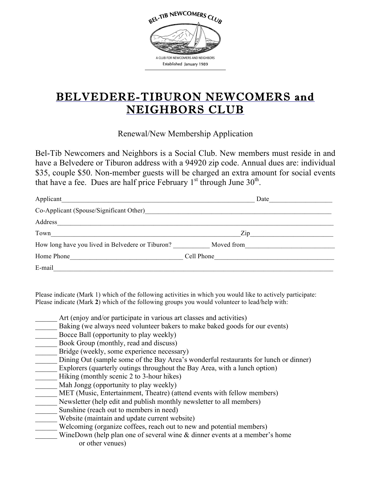

## BELVEDERE-TIBURON NEWCOMERS and NEIGHBORS CLUB

Renewal/New Membership Application

Bel-Tib Newcomers and Neighbors is a Social Club. New members must reside in and have a Belvedere or Tiburon address with a 94920 zip code. Annual dues are: individual \$35, couple \$50. Non-member guests will be charged an extra amount for social events that have a fee. Dues are half price February  $1<sup>st</sup>$  through June  $30<sup>th</sup>$ .

| Applicant                                        | Date       |
|--------------------------------------------------|------------|
| Co-Applicant (Spouse/Significant Other)          |            |
| Address                                          |            |
| Town                                             | Zip        |
| How long have you lived in Belvedere or Tiburon? | Moved from |
| Home Phone                                       | Cell Phone |
| E-mail                                           |            |

Please indicate (Mark 1) which of the following activities in which you would like to actively participate: Please indicate (Mark **2**) which of the following groups you would volunteer to lead/help with:

Art (enjoy and/or participate in various art classes and activities)

- Baking (we always need volunteer bakers to make baked goods for our events)
- Bocce Ball (opportunity to play weekly)
- Book Group (monthly, read and discuss)
- Bridge (weekly, some experience necessary)
- Dining Out (sample some of the Bay Area's wonderful restaurants for lunch or dinner)

Explorers (quarterly outings throughout the Bay Area, with a lunch option)

- Hiking (monthly scenic 2 to 3-hour hikes)
- Mah Jongg (opportunity to play weekly)
- MET (Music, Entertainment, Theatre) (attend events with fellow members)
- \_\_\_\_\_\_ Newsletter (help edit and publish monthly newsletter to all members)
- Sunshine (reach out to members in need)
- \_\_\_\_\_\_ Website (maintain and update current website)
	- Welcoming (organize coffees, reach out to new and potential members)
	- WineDown (help plan one of several wine  $&$  dinner events at a member's home or other venues)